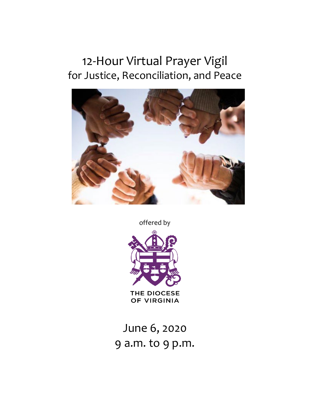# 12-Hour Virtual Prayer Vigil for Justice, Reconciliation, and Peace



offered by



June 6, 2020 9 a.m. to 9 p.m.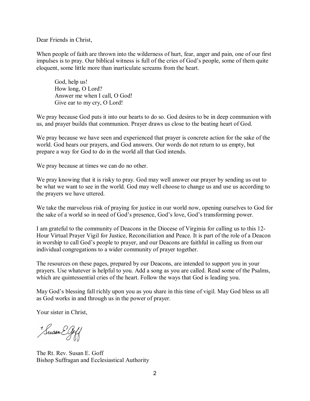Dear Friends in Christ,

When people of faith are thrown into the wilderness of hurt, fear, anger and pain, one of our first impulses is to pray. Our biblical witness is full of the cries of God's people, some of them quite eloquent, some little more than inarticulate screams from the heart.

God, help us! How long, O Lord? Answer me when I call, O God! Give ear to my cry, O Lord!

We pray because God puts it into our hearts to do so. God desires to be in deep communion with us, and prayer builds that communion. Prayer draws us close to the beating heart of God.

We pray because we have seen and experienced that prayer is concrete action for the sake of the world. God hears our prayers, and God answers. Our words do not return to us empty, but prepare a way for God to do in the world all that God intends.

We pray because at times we can do no other.

We pray knowing that it is risky to pray. God may well answer our prayer by sending us out to be what we want to see in the world. God may well choose to change us and use us according to the prayers we have uttered.

We take the marvelous risk of praying for justice in our world now, opening ourselves to God for the sake of a world so in need of God's presence, God's love, God's transforming power.

I am grateful to the community of Deacons in the Diocese of Virginia for calling us to this 12- Hour Virtual Prayer Vigil for Justice, Reconciliation and Peace. It is part of the role of a Deacon in worship to call God's people to prayer, and our Deacons are faithful in calling us from our individual congregations to a wider community of prayer together.

The resources on these pages, prepared by our Deacons, are intended to support you in your prayers. Use whatever is helpful to you. Add a song as you are called. Read some of the Psalms, which are quintessential cries of the heart. Follow the ways that God is leading you.

May God's blessing fall richly upon you as you share in this time of vigil. May God bless us all as God works in and through us in the power of prayer.

Your sister in Christ,

Fusan EGoff

The Rt. Rev. Susan E. Goff Bishop Suffragan and Ecclesiastical Authority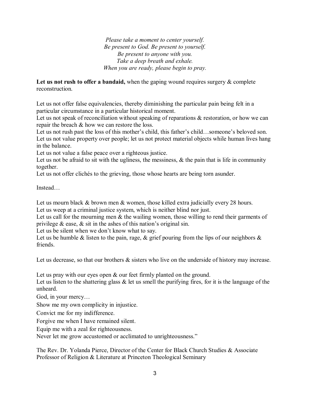*Please take a moment to center yourself. Be present to God. Be present to yourself. Be present to anyone with you. Take a deep breath and exhale. When you are ready, please begin to pray.*

Let us not rush to offer a bandaid, when the gaping wound requires surgery & complete reconstruction.

Let us not offer false equivalencies, thereby diminishing the particular pain being felt in a particular circumstance in a particular historical moment.

Let us not speak of reconciliation without speaking of reparations & restoration, or how we can repair the breach & how we can restore the loss.

Let us not rush past the loss of this mother's child, this father's child…someone's beloved son. Let us not value property over people; let us not protect material objects while human lives hang in the balance.

Let us not value a false peace over a righteous justice.

Let us not be afraid to sit with the ugliness, the messiness,  $\&$  the pain that is life in community together.

Let us not offer clichés to the grieving, those whose hearts are being torn asunder.

Instead…

Let us mourn black & brown men & women, those killed extra judicially every 28 hours. Let us weep at a criminal justice system, which is neither blind nor just.

Let us call for the mourning men  $\&$  the wailing women, those willing to rend their garments of privilege & ease, & sit in the ashes of this nation's original sin.

Let us be silent when we don't know what to say.

Let us be humble & listen to the pain, rage,  $\&$  grief pouring from the lips of our neighbors  $\&$ friends.

Let us decrease, so that our brothers & sisters who live on the underside of history may increase.

Let us pray with our eyes open  $\&$  our feet firmly planted on the ground.

Let us listen to the shattering glass  $\&$  let us smell the purifying fires, for it is the language of the unheard.

God, in your mercy...

Show me my own complicity in injustice.

Convict me for my indifference.

Forgive me when I have remained silent.

Equip me with a zeal for righteousness.

Never let me grow accustomed or acclimated to unrighteousness."

The Rev. Dr. Yolanda Pierce, Director of the Center for Black Church Studies & Associate Professor of Religion & Literature at Princeton Theological Seminary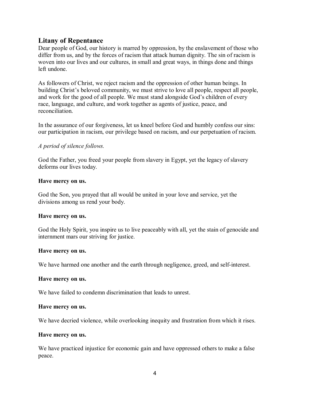# **Litany of Repentance**

Dear people of God, our history is marred by oppression, by the enslavement of those who differ from us, and by the forces of racism that attack human dignity. The sin of racism is woven into our lives and our cultures, in small and great ways, in things done and things left undone.

As followers of Christ, we reject racism and the oppression of other human beings. In building Christ's beloved community, we must strive to love all people, respect all people, and work for the good of all people. We must stand alongside God's children of every race, language, and culture, and work together as agents of justice, peace, and reconciliation.

In the assurance of our forgiveness, let us kneel before God and humbly confess our sins: our participation in racism, our privilege based on racism, and our perpetuation of racism.

# *A period of silence follows.*

God the Father, you freed your people from slavery in Egypt, yet the legacy of slavery deforms our lives today.

# **Have mercy on us.**

God the Son, you prayed that all would be united in your love and service, yet the divisions among us rend your body.

# **Have mercy on us.**

God the Holy Spirit, you inspire us to live peaceably with all, yet the stain of genocide and internment mars our striving for justice.

# **Have mercy on us.**

We have harmed one another and the earth through negligence, greed, and self-interest.

# **Have mercy on us.**

We have failed to condemn discrimination that leads to unrest.

# **Have mercy on us.**

We have decried violence, while overlooking inequity and frustration from which it rises.

# **Have mercy on us.**

We have practiced injustice for economic gain and have oppressed others to make a false peace.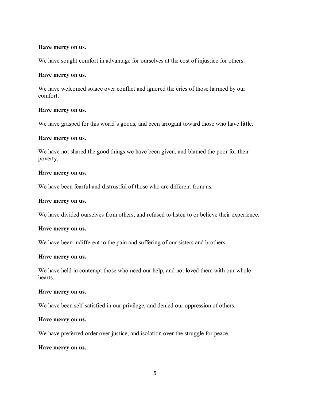#### **Have mercy on us.**

We have sought comfort in advantage for ourselves at the cost of injustice for others.

#### **Have mercy on us.**

We have welcomed solace over conflict and ignored the cries of those harmed by our comfort.

#### **Have mercy on us.**

We have grasped for this world's goods, and been arrogant toward those who have little.

#### **Have mercy on us.**

We have not shared the good things we have been given, and blamed the poor for their poverty.

#### **Have mercy on us.**

We have been fearful and distrustful of those who are different from us.

## **Have mercy on us.**

We have divided ourselves from others, and refused to listen to or believe their experience.

#### **Have mercy on us.**

We have been indifferent to the pain and suffering of our sisters and brothers.

#### **Have mercy on us.**

We have held in contempt those who need our help, and not loved them with our whole hearts.

#### **Have mercy on us.**

We have been self-satisfied in our privilege, and denied our oppression of others.

#### **Have mercy on us.**

We have preferred order over justice, and isolation over the struggle for peace.

#### **Have mercy on us.**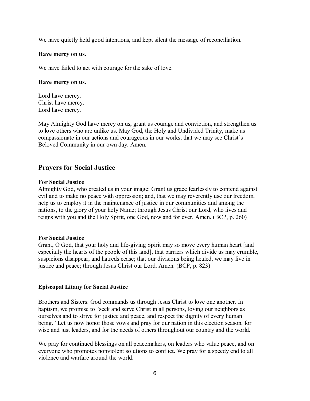We have quietly held good intentions, and kept silent the message of reconciliation.

# **Have mercy on us.**

We have failed to act with courage for the sake of love.

# **Have mercy on us.**

Lord have mercy. Christ have mercy. Lord have mercy.

May Almighty God have mercy on us, grant us courage and conviction, and strengthen us to love others who are unlike us. May God, the Holy and Undivided Trinity, make us compassionate in our actions and courageous in our works, that we may see Christ's Beloved Community in our own day. Amen.

# **Prayers for Social Justice**

# **For Social Justice**

Almighty God, who created us in your image: Grant us grace fearlessly to contend against evil and to make no peace with oppression; and, that we may reverently use our freedom, help us to employ it in the maintenance of justice in our communities and among the nations, to the glory of your holy Name; through Jesus Christ our Lord, who lives and reigns with you and the Holy Spirit, one God, now and for ever. Amen. (BCP, p. 260)

# **For Social Justice**

Grant, O God, that your holy and life-giving Spirit may so move every human heart [and especially the hearts of the people of this land], that barriers which divide us may crumble, suspicions disappear, and hatreds cease; that our divisions being healed, we may live in justice and peace; through Jesus Christ our Lord. Amen. (BCP, p. 823)

# **Episcopal Litany for Social Justice**

Brothers and Sisters: God commands us through Jesus Christ to love one another. In baptism, we promise to "seek and serve Christ in all persons, loving our neighbors as ourselves and to strive for justice and peace, and respect the dignity of every human being." Let us now honor those vows and pray for our nation in this election season, for wise and just leaders, and for the needs of others throughout our country and the world.

We pray for continued blessings on all peacemakers, on leaders who value peace, and on everyone who promotes nonviolent solutions to conflict. We pray for a speedy end to all violence and warfare around the world.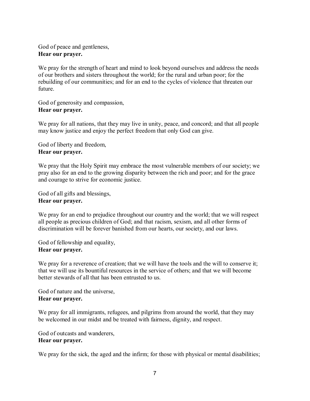God of peace and gentleness, **Hear our prayer.**

We pray for the strength of heart and mind to look beyond ourselves and address the needs of our brothers and sisters throughout the world; for the rural and urban poor; for the rebuilding of our communities; and for an end to the cycles of violence that threaten our future.

God of generosity and compassion, **Hear our prayer.**

We pray for all nations, that they may live in unity, peace, and concord; and that all people may know justice and enjoy the perfect freedom that only God can give.

God of liberty and freedom, **Hear our prayer.**

We pray that the Holy Spirit may embrace the most vulnerable members of our society; we pray also for an end to the growing disparity between the rich and poor; and for the grace and courage to strive for economic justice.

God of all gifts and blessings, **Hear our prayer.**

We pray for an end to prejudice throughout our country and the world; that we will respect all people as precious children of God; and that racism, sexism, and all other forms of discrimination will be forever banished from our hearts, our society, and our laws.

God of fellowship and equality, **Hear our prayer.**

We pray for a reverence of creation; that we will have the tools and the will to conserve it; that we will use its bountiful resources in the service of others; and that we will become better stewards of all that has been entrusted to us.

God of nature and the universe, **Hear our prayer.**

We pray for all immigrants, refugees, and pilgrims from around the world, that they may be welcomed in our midst and be treated with fairness, dignity, and respect.

God of outcasts and wanderers, **Hear our prayer.**

We pray for the sick, the aged and the infirm; for those with physical or mental disabilities;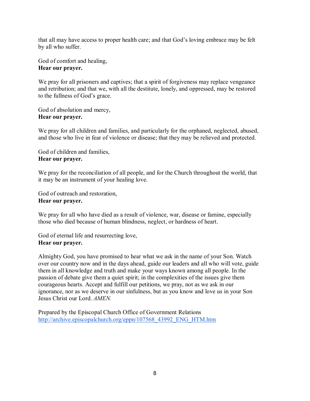that all may have access to proper health care; and that God's loving embrace may be felt by all who suffer.

God of comfort and healing, **Hear our prayer.**

We pray for all prisoners and captives; that a spirit of forgiveness may replace vengeance and retribution; and that we, with all the destitute, lonely, and oppressed, may be restored to the fullness of God's grace.

God of absolution and mercy, **Hear our prayer.**

We pray for all children and families, and particularly for the orphaned, neglected, abused, and those who live in fear of violence or disease; that they may be relieved and protected.

God of children and families, **Hear our prayer.**

We pray for the reconciliation of all people, and for the Church throughout the world, that it may be an instrument of your healing love.

God of outreach and restoration, **Hear our prayer.**

We pray for all who have died as a result of violence, war, disease or famine, especially those who died because of human blindness, neglect, or hardness of heart.

God of eternal life and resurrecting love, **Hear our prayer.**

Almighty God, you have promised to hear what we ask in the name of your Son. Watch over our country now and in the days ahead, guide our leaders and all who will vote, guide them in all knowledge and truth and make your ways known among all people. In the passion of debate give them a quiet spirit; in the complexities of the issues give them courageous hearts. Accept and fulfill our petitions, we pray, not as we ask in our ignorance, nor as we deserve in our sinfulness, but as you know and love us in your Son Jesus Christ our Lord. *AMEN.*

Prepared by the Episcopal Church Office of Government Relations [http://archive.episcopalchurch.org/eppn/107568\\_43992\\_ENG\\_HTM.htm](http://archive.episcopalchurch.org/eppn/107568_43992_ENG_HTM.htm)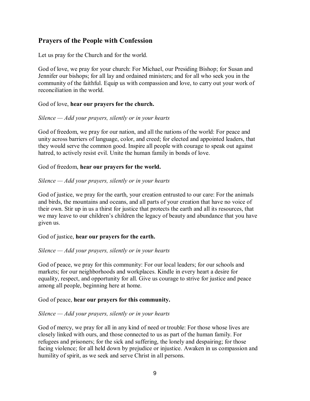# **Prayers of the People with Confession**

Let us pray for the Church and for the world.

God of love, we pray for your church: For Michael, our Presiding Bishop; for Susan and Jennifer our bishops; for all lay and ordained ministers; and for all who seek you in the community of the faithful. Equip us with compassion and love, to carry out your work of reconciliation in the world.

# God of love, **hear our prayers for the church.**

# *Silence — Add your prayers, silently or in your hearts*

God of freedom, we pray for our nation, and all the nations of the world: For peace and unity across barriers of language, color, and creed; for elected and appointed leaders, that they would serve the common good. Inspire all people with courage to speak out against hatred, to actively resist evil. Unite the human family in bonds of love.

# God of freedom, **hear our prayers for the world.**

# *Silence — Add your prayers, silently or in your hearts*

God of justice, we pray for the earth, your creation entrusted to our care: For the animals and birds, the mountains and oceans, and all parts of your creation that have no voice of their own. Stir up in us a thirst for justice that protects the earth and all its resources, that we may leave to our children's children the legacy of beauty and abundance that you have given us.

# God of justice, **hear our prayers for the earth.**

# *Silence — Add your prayers, silently or in your hearts*

God of peace, we pray for this community: For our local leaders; for our schools and markets; for our neighborhoods and workplaces. Kindle in every heart a desire for equality, respect, and opportunity for all. Give us courage to strive for justice and peace among all people, beginning here at home.

# God of peace, **hear our prayers for this community.**

# *Silence — Add your prayers, silently or in your hearts*

God of mercy, we pray for all in any kind of need or trouble: For those whose lives are closely linked with ours, and those connected to us as part of the human family. For refugees and prisoners; for the sick and suffering, the lonely and despairing; for those facing violence; for all held down by prejudice or injustice. Awaken in us compassion and humility of spirit, as we seek and serve Christ in all persons.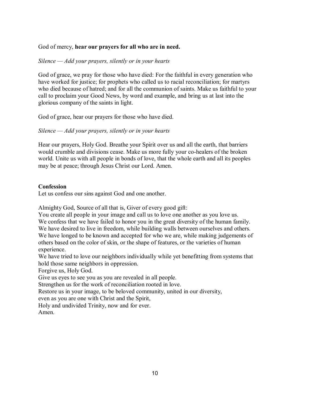# God of mercy, **hear our prayers for all who are in need.**

# *Silence — Add your prayers, silently or in your hearts*

God of grace, we pray for those who have died: For the faithful in every generation who have worked for justice; for prophets who called us to racial reconciliation; for martyrs who died because of hatred; and for all the communion of saints. Make us faithful to your call to proclaim your Good News, by word and example, and bring us at last into the glorious company of the saints in light.

God of grace, hear our prayers for those who have died.

*Silence — Add your prayers, silently or in your hearts*

Hear our prayers, Holy God. Breathe your Spirit over us and all the earth, that barriers would crumble and divisions cease. Make us more fully your co-healers of the broken world. Unite us with all people in bonds of love, that the whole earth and all its peoples may be at peace; through Jesus Christ our Lord. Amen.

# **Confession**

Let us confess our sins against God and one another.

Almighty God, Source of all that is, Giver of every good gift:

You create all people in your image and call us to love one another as you love us. We confess that we have failed to honor you in the great diversity of the human family. We have desired to live in freedom, while building walls between ourselves and others. We have longed to be known and accepted for who we are, while making judgements of others based on the color of skin, or the shape of features, or the varieties of human experience.

We have tried to love our neighbors individually while yet benefitting from systems that hold those same neighbors in oppression.

Forgive us, Holy God.

Give us eyes to see you as you are revealed in all people.

Strengthen us for the work of reconciliation rooted in love.

Restore us in your image, to be beloved community, united in our diversity,

even as you are one with Christ and the Spirit,

Holy and undivided Trinity, now and for ever.

Amen.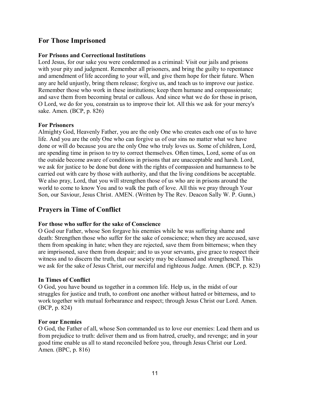# **For Those Imprisoned**

# **For Prisons and Correctional Institutions**

Lord Jesus, for our sake you were condemned as a criminal: Visit our jails and prisons with your pity and judgment. Remember all prisoners, and bring the guilty to repentance and amendment of life according to your will, and give them hope for their future. When any are held unjustly, bring them release; forgive us, and teach us to improve our justice. Remember those who work in these institutions; keep them humane and compassionate; and save them from becoming brutal or callous. And since what we do for those in prison, O Lord, we do for you, constrain us to improve their lot. All this we ask for your mercy's sake. Amen. (BCP, p. 826)

# **For Prisoners**

Almighty God, Heavenly Father, you are the only One who creates each one of us to have life. And you are the only One who can forgive us of our sins no matter what we have done or will do because you are the only One who truly loves us. Some of children, Lord, are spending time in prison to try to correct themselves. Often times, Lord, some of us on the outside become aware of conditions in prisons that are unacceptable and harsh. Lord, we ask for justice to be done but done with the rights of compassion and humanness to be carried out with care by those with authority, and that the living conditions be acceptable. We also pray, Lord, that you will strengthen those of us who are in prisons around the world to come to know You and to walk the path of love. All this we pray through Your Son, our Saviour, Jesus Christ. AMEN. (Written by The Rev. Deacon Sally W. P. Gunn,)

# **Prayers in Time of Conflict**

# **For those who suffer for the sake of Conscience**

O God our Father, whose Son forgave his enemies while he was suffering shame and death: Strengthen those who suffer for the sake of conscience; when they are accused, save them from speaking in hate; when they are rejected, save them from bitterness; when they are imprisoned, save them from despair; and to us your servants, give grace to respect their witness and to discern the truth, that our society may be cleansed and strengthened. This we ask for the sake of Jesus Christ, our merciful and righteous Judge. Amen*.* (BCP, p. 823)

# **In Times of Conflict**

O God, you have bound us together in a common life. Help us, in the midst of our struggles for justice and truth, to confront one another without hatred or bitterness, and to work together with mutual forbearance and respect; through Jesus Christ our Lord. Amen. (BCP, p. 824)

# **For our Enemies**

O God, the Father of all, whose Son commanded us to love our enemies: Lead them and us from prejudice to truth: deliver them and us from hatred, cruelty, and revenge; and in your good time enable us all to stand reconciled before you, through Jesus Christ our Lord. Amen. (BPC, p. 816)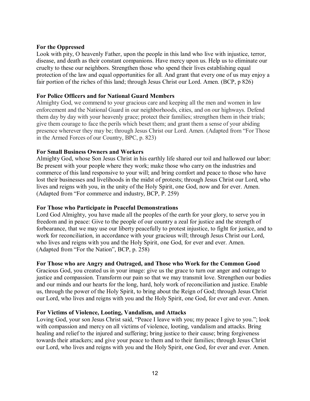## **For the Oppressed**

Look with pity, O heavenly Father, upon the people in this land who live with injustice, terror, disease, and death as their constant companions. Have mercy upon us. Help us to eliminate our cruelty to these our neighbors. Strengthen those who spend their lives establishing equal protection of the law and equal opportunities for all. And grant that every one of us may enjoy a fair portion of the riches of this land; through Jesus Christ our Lord. Amen. (BCP, p 826)

# **For Police Officers and for National Guard Members**

Almighty God, we commend to your gracious care and keeping all the men and women in law enforcement and the National Guard in our neighborhoods, cities, and on our highways. Defend them day by day with your heavenly grace; protect their families; strengthen them in their trials; give them courage to face the perils which beset them; and grant them a sense of your abiding presence wherever they may be; through Jesus Christ our Lord. Amen. (Adapted from "For Those in the Armed Forces of our Country, BPC, p. 823)

# **For Small Business Owners and Workers**

Almighty God, whose Son Jesus Christ in his earthly life shared our toil and hallowed our labor: Be present with your people where they work; make those who carry on the industries and commerce of this land responsive to your will; and bring comfort and peace to those who have lost their businesses and livelihoods in the midst of protests; through Jesus Christ our Lord, who lives and reigns with you, in the unity of the Holy Spirit, one God, now and for ever. Amen. (Adapted from "For commerce and industry, BCP, P. 259)

# **For Those who Participate in Peaceful Demonstrations**

Lord God Almighty, you have made all the peoples of the earth for your glory, to serve you in freedom and in peace: Give to the people of our country a zeal for justice and the strength of forbearance, that we may use our liberty peacefully to protest injustice, to fight for justice, and to work for reconciliation, in accordance with your gracious will; through Jesus Christ our Lord, who lives and reigns with you and the Holy Spirit, one God, for ever and ever. Amen. (Adapted from "For the Nation", BCP, p. 258)

# **For Those who are Angry and Outraged, and Those who Work for the Common Good**

Gracious God, you created us in your image: give us the grace to turn our anger and outrage to justice and compassion. Transform our pain so that we may transmit love. Strengthen our bodies and our minds and our hearts for the long, hard, holy work of reconciliation and justice. Enable us, through the power of the Holy Spirit, to bring about the Reign of God; through Jesus Christ our Lord, who lives and reigns with you and the Holy Spirit, one God, for ever and ever. Amen.

#### **For Victims of Violence, Looting, Vandalism, and Attacks**

Loving God, your son Jesus Christ said, "Peace I leave with you; my peace I give to you."; look with compassion and mercy on all victims of violence, looting, vandalism and attacks. Bring healing and relief to the injured and suffering; bring justice to their cause; bring forgiveness towards their attackers; and give your peace to them and to their families; through Jesus Christ our Lord, who lives and reigns with you and the Holy Spirit, one God, for ever and ever. Amen.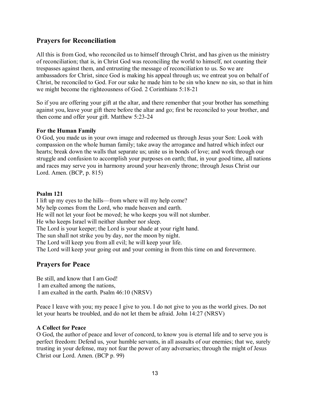# **Prayers for Reconciliation**

All this is from God, who reconciled us to himself through Christ, and has given us the ministry of reconciliation; that is, in Christ God was reconciling the world to himself, not counting their trespasses against them, and entrusting the message of reconciliation to us. So we are ambassadors for Christ, since God is making his appeal through us; we entreat you on behalf of Christ, be reconciled to God. For our sake he made him to be sin who knew no sin, so that in him we might become the righteousness of God. 2 Corinthians 5:18-21

So if you are offering your gift at the altar, and there remember that your brother has something against you, leave your gift there before the altar and go; first be reconciled to your brother, and then come and offer your gift. Matthew 5:23-24

# **For the Human Family**

O God, you made us in your own image and redeemed us through Jesus your Son: Look with compassion on the whole human family; take away the arrogance and hatred which infect our hearts; break down the walls that separate us; unite us in bonds of love; and work through our struggle and confusion to accomplish your purposes on earth; that, in your good time, all nations and races may serve you in harmony around your heavenly throne; through Jesus Christ our Lord. Amen. (BCP, p. 815)

# **Psalm 121**

I lift up my eyes to the hills—from where will my help come? My help comes from the Lord, who made heaven and earth. He will not let your foot be moved; he who keeps you will not slumber. He who keeps Israel will neither slumber nor sleep. The Lord is your keeper; the Lord is your shade at your right hand. The sun shall not strike you by day, nor the moon by night. The Lord will keep you from all evil; he will keep your life. The Lord will keep your going out and your coming in from this time on and forevermore.

# **Prayers for Peace**

Be still, and know that I am God! I am exalted among the nations, I am exalted in the earth. Psalm 46:10 (NRSV)

Peace I leave with you; my peace I give to you. I do not give to you as the world gives. Do not let your hearts be troubled, and do not let them be afraid. John 14:27 (NRSV)

# **A Collect for Peace**

O God, the author of peace and lover of concord, to know you is eternal life and to serve you is perfect freedom: Defend us, your humble servants, in all assaults of our enemies; that we, surely trusting in your defense, may not fear the power of any adversaries; through the might of Jesus Christ our Lord. Amen. (BCP p. 99)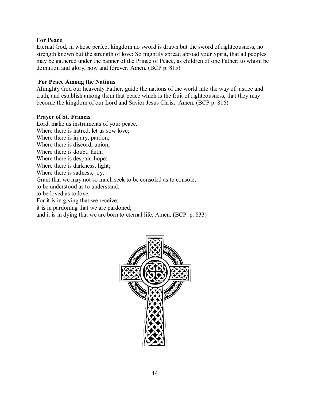## **For Peace**

Eternal God, in whose perfect kingdom no sword is drawn but the sword of righteousness, no strength known but the strength of love: So mightily spread abroad your Spirit, that all peoples may be gathered under the banner of the Prince of Peace, as children of one Father; to whom be dominion and glory, now and forever. Amen. (BCP p. 815)

## **For Peace Among the Nations**

Almighty God our heavenly Father, guide the nations of the world into the way of justice and truth, and establish among them that peace which is the fruit of righteousness, that they may become the kingdom of our Lord and Savior Jesus Christ. Amen. (BCP p. 816)

#### **Prayer of St. Francis**

Lord, make us instruments of your peace. Where there is hatred, let us sow love; Where there is injury, pardon; Where there is discord, union; Where there is doubt, faith; Where there is despair, hope; Where there is darkness, light; Where there is sadness, joy. Grant that we may not so much seek to be consoled as to console; to be understood as to understand; to be loved as to love. For it is in giving that we receive; it is in pardoning that we are pardoned; and it is in dying that we are born to eternal life. Amen. (BCP. p. 833)